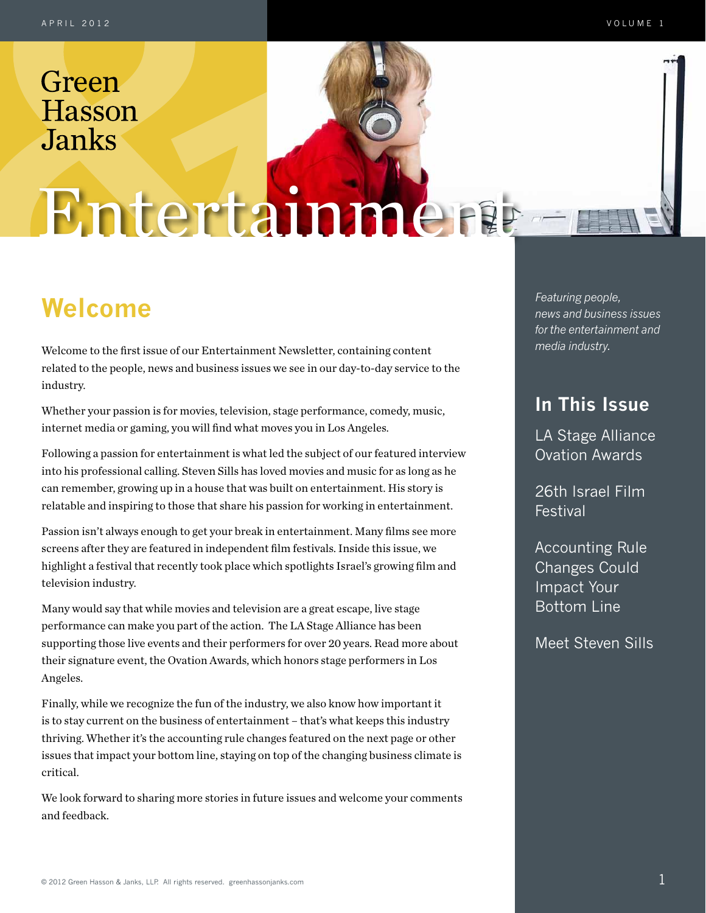# Entertainment

## **Welcome** *Featuring people,*

Welcome to the first issue of our Entertainment Newsletter, containing content related to the people, news and business issues we see in our day-to-day service to the industry.

Whether your passion is for movies, television, stage performance, comedy, music, internet media or gaming, you will find what moves you in Los Angeles.

Following a passion for entertainment is what led the subject of our featured interview into his professional calling. Steven Sills has loved movies and music for as long as he can remember, growing up in a house that was built on entertainment. His story is relatable and inspiring to those that share his passion for working in entertainment.

Passion isn't always enough to get your break in entertainment. Many films see more screens after they are featured in independent film festivals. Inside this issue, we highlight a festival that recently took place which spotlights Israel's growing film and television industry.

Many would say that while movies and television are a great escape, live stage performance can make you part of the action. The LA Stage Alliance has been supporting those live events and their performers for over 20 years. Read more about their signature event, the Ovation Awards, which honors stage performers in Los Angeles.

Finally, while we recognize the fun of the industry, we also know how important it is to stay current on the business of entertainment – that's what keeps this industry thriving. Whether it's the accounting rule changes featured on the next page or other issues that impact your bottom line, staying on top of the changing business climate is critical.

We look forward to sharing more stories in future issues and welcome your comments and feedback.

*news and business issues for the entertainment and media industry.*

## **In This Issue**

LA Stage Alliance Ovation Awards

26th Israel Film Festival

Accounting Rule Changes Could Impact Your Bottom Line

Meet Steven Sills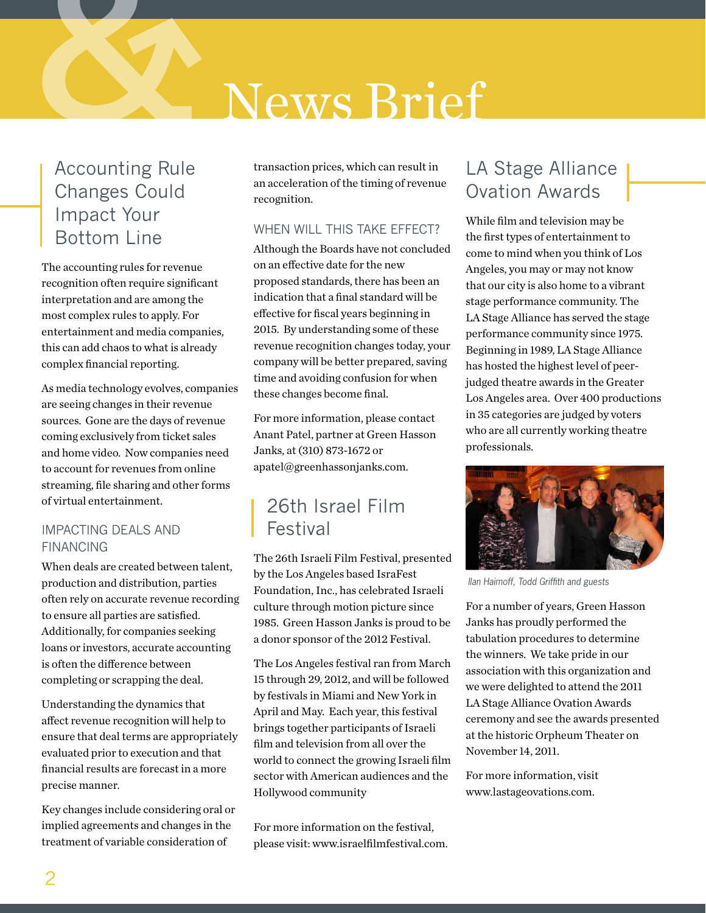## News Brief

## Accounting Rule Changes Could Impact Your Bottom Line

The accounting rules for revenue recognition often require significant interpretation and are among the most complex rules to apply. For entertainment and media companies, this can add chaos to what is already complex financial reporting.

As media technology evolves, companies are seeing changes in their revenue sources. Gone are the days of revenue coming exclusively from ticket sales and home video. Now companies need to account for revenues from online streaming, file sharing and other forms of virtual entertainment.

### Impacting Deals and **FINANCING**

When deals are created between talent, production and distribution, parties often rely on accurate revenue recording to ensure all parties are satisfied. Additionally, for companies seeking loans or investors, accurate accounting is often the difference between completing or scrapping the deal.

Understanding the dynamics that affect revenue recognition will help to ensure that deal terms are appropriately evaluated prior to execution and that financial results are forecast in a more precise manner.

Key changes include considering oral or implied agreements and changes in the treatment of variable consideration of

transaction prices, which can result in an acceleration of the timing of revenue recognition.

### WHEN WILL THIS TAKE EFFECT?

Although the Boards have not concluded on an effective date for the new proposed standards, there has been an indication that a final standard will be effective for fiscal years beginning in 2015. By understanding some of these revenue recognition changes today, your company will be better prepared, saving time and avoiding confusion for when these changes become final.

For more information, please contact Anant Patel, partner at Green Hasson Janks, at (310) 873-1672 or apatel@greenhassonjanks.com.

## 26th Israel Film Festival

The 26th Israeli Film Festival, presented by the Los Angeles based IsraFest Foundation, Inc., has celebrated Israeli culture through motion picture since 1985. Green Hasson Janks is proud to be a donor sponsor of the 2012 Festival.

The Los Angeles festival ran from March 15 through 29, 2012, and will be followed by festivals in Miami and New York in April and May. Each year, this festival brings together participants of Israeli film and television from all over the world to connect the growing Israeli film sector with American audiences and the Hollywood community

For more information on the festival, please visit: www.israelfilmfestival.com.

## LA Stage Alliance Ovation Awards

While film and television may be the first types of entertainment to come to mind when you think of Los Angeles, you may or may not know that our city is also home to a vibrant stage performance community. The LA Stage Alliance has served the stage performance community since 1975. Beginning in 1989, LA Stage Alliance has hosted the highest level of peerjudged theatre awards in the Greater Los Angeles area. Over 400 productions in 35 categories are judged by voters who are all currently working theatre professionals.



*Ilan Haimoff, Todd Griffith and guests*

For a number of years, Green Hasson Janks has proudly performed the tabulation procedures to determine the winners. We take pride in our association with this organization and we were delighted to attend the 2011 LA Stage Alliance Ovation Awards ceremony and see the awards presented at the historic Orpheum Theater on November 14, 2011.

For more information, visit www.lastageovations.com.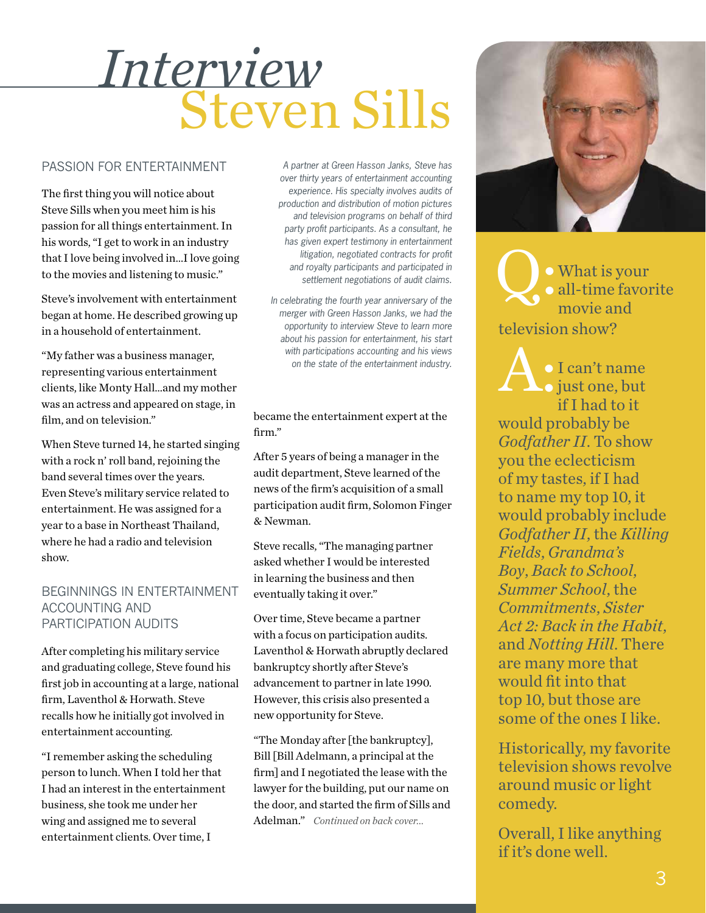## Steven Sills *Interview*

#### Passion for Entertainment

The first thing you will notice about Steve Sills when you meet him is his passion for all things entertainment. In his words, "I get to work in an industry that I love being involved in…I love going to the movies and listening to music."

Steve's involvement with entertainment began at home. He described growing up in a household of entertainment.

"My father was a business manager, representing various entertainment clients, like Monty Hall…and my mother was an actress and appeared on stage, in film, and on television."

When Steve turned 14, he started singing with a rock n' roll band, rejoining the band several times over the years. Even Steve's military service related to entertainment. He was assigned for a year to a base in Northeast Thailand, where he had a radio and television show.

#### Beginnings in Entertainment Accounting and Participation Audits

After completing his military service and graduating college, Steve found his first job in accounting at a large, national firm, Laventhol & Horwath. Steve recalls how he initially got involved in entertainment accounting.

"I remember asking the scheduling person to lunch. When I told her that I had an interest in the entertainment business, she took me under her wing and assigned me to several entertainment clients. Over time, I

*A partner at Green Hasson Janks, Steve has over thirty years of entertainment accounting experience. His specialty involves audits of production and distribution of motion pictures and television programs on behalf of third party profit participants. As a consultant, he has given expert testimony in entertainment litigation, negotiated contracts for profit and royalty participants and participated in settlement negotiations of audit claims.* 

*In celebrating the fourth year anniversary of the merger with Green Hasson Janks, we had the opportunity to interview Steve to learn more about his passion for entertainment, his start with participations accounting and his views on the state of the entertainment industry.*

#### became the entertainment expert at the firm."

After 5 years of being a manager in the audit department, Steve learned of the news of the firm's acquisition of a small participation audit firm, Solomon Finger & Newman.

Steve recalls, "The managing partner asked whether I would be interested in learning the business and then eventually taking it over."

Over time, Steve became a partner with a focus on participation audits. Laventhol & Horwath abruptly declared bankruptcy shortly after Steve's advancement to partner in late 1990. However, this crisis also presented a new opportunity for Steve.

"The Monday after [the bankruptcy], Bill [Bill Adelmann, a principal at the firm] and I negotiated the lease with the lawyer for the building, put our name on the door, and started the firm of Sills and Adelman." *Continued on back cover...*



O . What is your all-time favorite movie and television show?

I can't name o just one, but if I had to it would probably be *Godfather II*. To show you the eclecticism of my tastes, if I had to name my top 10, it would probably include *Godfather II*, the *Killing Fields*, *Grandma's Boy*, *Back to School*, *Summer School*, the *Commitments*, *Sister Act 2: Back in the Habit*, and *Notting Hill*. There are many more that would fit into that top 10, but those are some of the ones I like.

Historically, my favorite television shows revolve around music or light comedy.

Overall, I like anything if it's done well.